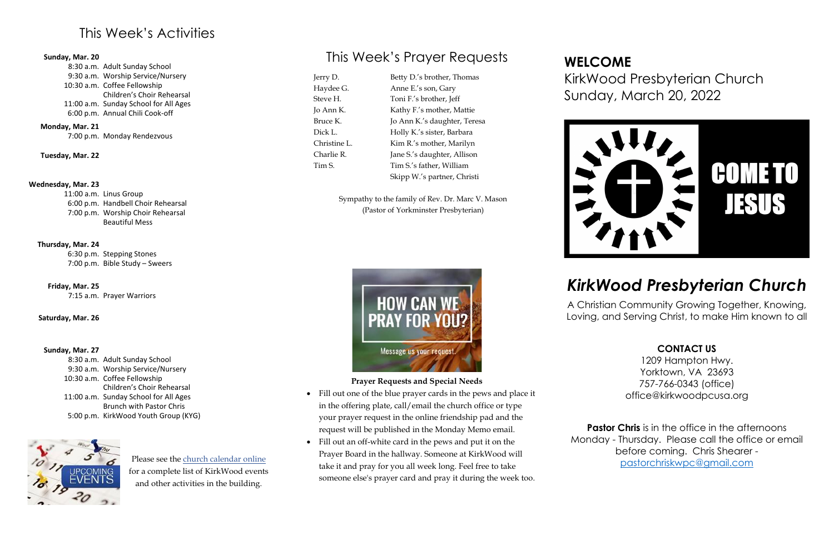### This Week's Activities

#### **Sunday, Mar. 20**

|  | 8:30 a.m. Adult Sunday School         |
|--|---------------------------------------|
|  | 9:30 a.m. Worship Service/Nursery     |
|  | 10:30 a.m. Coffee Fellowship          |
|  | Children's Choir Rehearsal            |
|  | 11:00 a.m. Sunday School for All Ages |
|  | 6:00 p.m. Annual Chili Cook-off       |
|  |                                       |

#### **Monday, Mar. 21**

7:00 p.m. Monday Rendezvous

**Tuesday, Mar. 22**

#### **Wednesday, Mar. 23**

11:00 a.m. Linus Group 6:00 p.m. Handbell Choir Rehearsal 7:00 p.m. Worship Choir Rehearsal Beautiful Mess

#### **Thursday, Mar. 24**

6:30 p.m. Stepping Stones 7:00 p.m. Bible Study – Sweers

**Friday, Mar. 25** 7:15 a.m. Prayer Warriors

#### **Saturday, Mar. 26**

#### **Sunday, Mar. 27**

8:30 a.m. Adult Sunday School 9:30 a.m. Worship Service/Nursery 10:30 a.m. Coffee Fellowship 11:00 a.m. Sunday School for All Ages 5:00 p.m. KirkWood Youth Group (KYG) Children's Choir Rehearsal Brunch with Pastor Chris



## This Week's Prayer Requests

Jerry D. Haydee G. Steve H. Jo Ann K. Bruce K. Dick L. Christine L. Charlie R. Tim S.

Betty D.'s brother, Thomas Anne E.'s son, Gary Toni F.'s brother, Jeff Kathy F.'s mother, Mattie Jo Ann K.'s daughter, Teresa Holly K.'s sister, Barbara Kim R.'s mother, Marilyn Jane S.'s daughter, Allison Tim S.'s father, William Skipp W.'s partner, Christi

> **Pastor Chris** is in the office in the afternoons Monday - Thursday. Please call the office or email before coming. Chris Shearer [pastorchriskwpc@gmail.com](mailto:pastorchriskwpc@gmail.com)

Sympathy to the family of Rev. Dr. Marc V. Mason (Pastor of Yorkminster Presbyterian)



#### **Prayer Requests and Special Needs**

- Fill out one of the blue prayer cards in the pews and place it in the offering plate, call/email the church office or type your prayer request in the online friendship pad and the request will be published in the Monday Memo email.
- Fill out an off-white card in the pews and put it on the Prayer Board in the hallway. Someone at KirkWood will take it and pray for you all week long. Feel free to take someone else's prayer card and pray it during the week too.

## **WELCOME** KirkWood Presbyterian Church Sunday, March 20, 2022



## *KirkWood Presbyterian Church*

A Christian Community Growing Together, Knowing, Loving, and Serving Christ, to make Him known to all

#### **CONTACT US**

1209 Hampton Hwy. Yorktown, VA 23693 757-766-0343 (office) office@kirkwoodpcusa.org

Please see the [church calendar online](https://kirkwoodpcusa.org/events/) for a complete list of KirkWood events and other activities in the building.